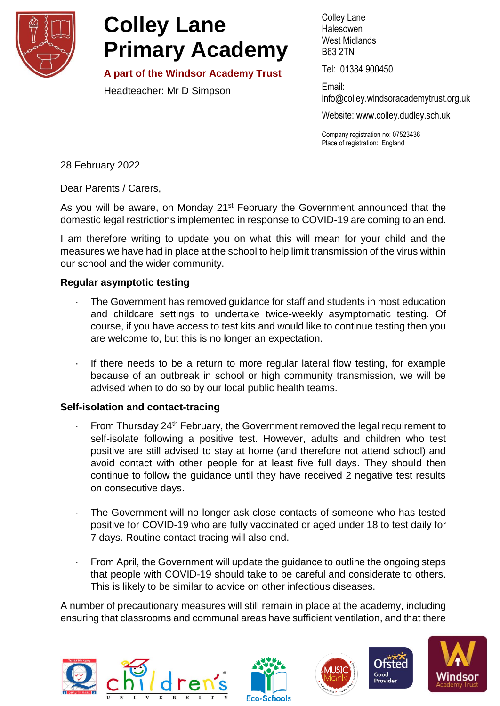

## **Colley Lane Primary Academy**

**A part of the Windsor Academy Trust**

Headteacher: Mr D Simpson

Colley Lane Halesowen West Midlands B63 2TN

Tel: 01384 900450

Email: info@colley[.windsoracademytrust.org.uk](http://www.windsoracademytrust.org.uk/)

Website: www.colley.dudley.sch.uk

Company registration no: 07523436 Place of registration: England

28 February 2022

Dear Parents / Carers,

As you will be aware, on Monday 21<sup>st</sup> February the Government announced that the domestic legal restrictions implemented in response to COVID-19 are coming to an end.

I am therefore writing to update you on what this will mean for your child and the measures we have had in place at the school to help limit transmission of the virus within our school and the wider community.

## **Regular asymptotic testing**

- The Government has removed guidance for staff and students in most education and childcare settings to undertake twice-weekly asymptomatic testing. Of course, if you have access to test kits and would like to continue testing then you are welcome to, but this is no longer an expectation.
- · If there needs to be a return to more regular lateral flow testing, for example because of an outbreak in school or high community transmission, we will be advised when to do so by our local public health teams.

## **Self-isolation and contact-tracing**

- $\cdot$  From Thursday 24<sup>th</sup> February, the Government removed the legal requirement to self-isolate following a positive test. However, adults and children who test positive are still advised to stay at home (and therefore not attend school) and avoid contact with other people for at least five full days. They should then continue to follow the guidance until they have received 2 negative test results on consecutive days.
- · The Government will no longer ask close contacts of someone who has tested positive for COVID-19 who are fully vaccinated or aged under 18 to test daily for 7 days. Routine contact tracing will also end.
- From April, the Government will update the guidance to outline the ongoing steps that people with COVID-19 should take to be careful and considerate to others. This is likely to be similar to advice on other infectious diseases.

A number of precautionary measures will still remain in place at the academy, including ensuring that classrooms and communal areas have sufficient ventilation, and that there